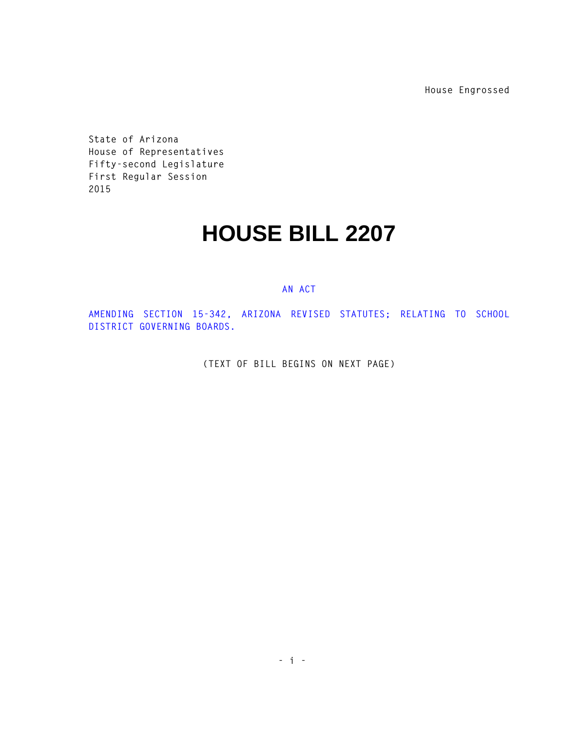**House Engrossed**

**State of Arizona House of Representatives Fifty-second Legislature First Regular Session 2015** 

## **HOUSE BILL 2207**

## **AN ACT**

**AMENDING SECTION 15-342, ARIZONA REVISED STATUTES; RELATING TO SCHOOL DISTRICT GOVERNING BOARDS.** 

**(TEXT OF BILL BEGINS ON NEXT PAGE)**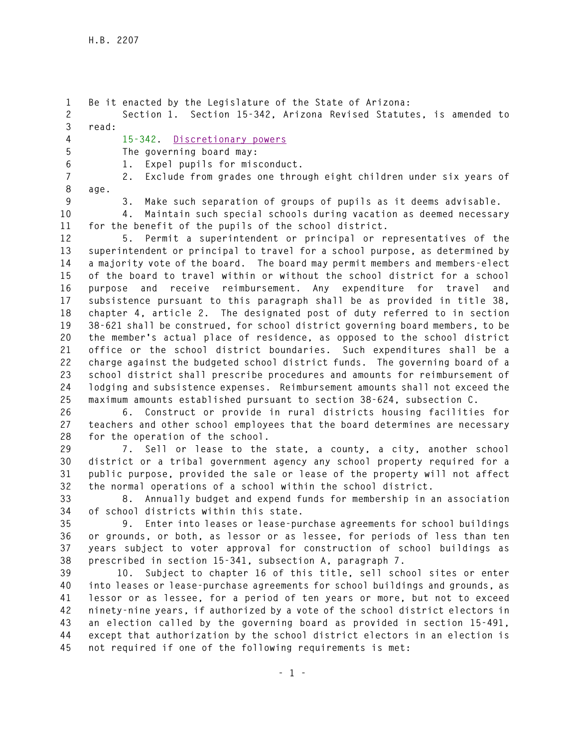**1 Be it enacted by the Legislature of the State of Arizona: 2 Section 1. Section 15-342, Arizona Revised Statutes, is amended to 3 read: 4 15-342. Discretionary powers 5 The governing board may: 6 1. Expel pupils for misconduct. 7 2. Exclude from grades one through eight children under six years of 8 age.** 

**9 3. Make such separation of groups of pupils as it deems advisable.** 

**10 4. Maintain such special schools during vacation as deemed necessary 11 for the benefit of the pupils of the school district.** 

**12 5. Permit a superintendent or principal or representatives of the 13 superintendent or principal to travel for a school purpose, as determined by 14 a majority vote of the board. The board may permit members and members-elect 15 of the board to travel within or without the school district for a school 16 purpose and receive reimbursement. Any expenditure for travel and 17 subsistence pursuant to this paragraph shall be as provided in title 38, 18 chapter 4, article 2. The designated post of duty referred to in section 19 38-621 shall be construed, for school district governing board members, to be 20 the member's actual place of residence, as opposed to the school district 21 office or the school district boundaries. Such expenditures shall be a 22 charge against the budgeted school district funds. The governing board of a 23 school district shall prescribe procedures and amounts for reimbursement of 24 lodging and subsistence expenses. Reimbursement amounts shall not exceed the 25 maximum amounts established pursuant to section 38-624, subsection C.** 

**26 6. Construct or provide in rural districts housing facilities for 27 teachers and other school employees that the board determines are necessary 28 for the operation of the school.** 

**29 7. Sell or lease to the state, a county, a city, another school 30 district or a tribal government agency any school property required for a 31 public purpose, provided the sale or lease of the property will not affect 32 the normal operations of a school within the school district.** 

**33 8. Annually budget and expend funds for membership in an association 34 of school districts within this state.** 

**35 9. Enter into leases or lease-purchase agreements for school buildings 36 or grounds, or both, as lessor or as lessee, for periods of less than ten 37 years subject to voter approval for construction of school buildings as 38 prescribed in section 15-341, subsection A, paragraph 7.** 

**39 10. Subject to chapter 16 of this title, sell school sites or enter 40 into leases or lease-purchase agreements for school buildings and grounds, as 41 lessor or as lessee, for a period of ten years or more, but not to exceed 42 ninety-nine years, if authorized by a vote of the school district electors in 43 an election called by the governing board as provided in section 15-491, 44 except that authorization by the school district electors in an election is 45 not required if one of the following requirements is met:**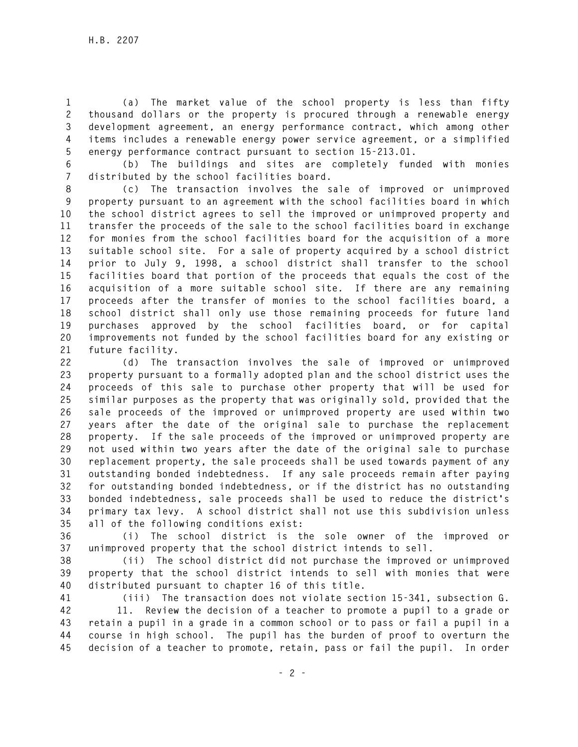**1 (a) The market value of the school property is less than fifty 2 thousand dollars or the property is procured through a renewable energy 3 development agreement, an energy performance contract, which among other 4 items includes a renewable energy power service agreement, or a simplified 5 energy performance contract pursuant to section 15-213.01.** 

**6 (b) The buildings and sites are completely funded with monies 7 distributed by the school facilities board.** 

**8 (c) The transaction involves the sale of improved or unimproved 9 property pursuant to an agreement with the school facilities board in which 10 the school district agrees to sell the improved or unimproved property and 11 transfer the proceeds of the sale to the school facilities board in exchange 12 for monies from the school facilities board for the acquisition of a more 13 suitable school site. For a sale of property acquired by a school district 14 prior to July 9, 1998, a school district shall transfer to the school 15 facilities board that portion of the proceeds that equals the cost of the 16 acquisition of a more suitable school site. If there are any remaining 17 proceeds after the transfer of monies to the school facilities board, a 18 school district shall only use those remaining proceeds for future land 19 purchases approved by the school facilities board, or for capital 20 improvements not funded by the school facilities board for any existing or 21 future facility.** 

**22 (d) The transaction involves the sale of improved or unimproved 23 property pursuant to a formally adopted plan and the school district uses the 24 proceeds of this sale to purchase other property that will be used for 25 similar purposes as the property that was originally sold, provided that the 26 sale proceeds of the improved or unimproved property are used within two 27 years after the date of the original sale to purchase the replacement 28 property. If the sale proceeds of the improved or unimproved property are 29 not used within two years after the date of the original sale to purchase 30 replacement property, the sale proceeds shall be used towards payment of any 31 outstanding bonded indebtedness. If any sale proceeds remain after paying 32 for outstanding bonded indebtedness, or if the district has no outstanding 33 bonded indebtedness, sale proceeds shall be used to reduce the district's 34 primary tax levy. A school district shall not use this subdivision unless 35 all of the following conditions exist:** 

**36 (i) The school district is the sole owner of the improved or 37 unimproved property that the school district intends to sell.** 

**38 (ii) The school district did not purchase the improved or unimproved 39 property that the school district intends to sell with monies that were 40 distributed pursuant to chapter 16 of this title.** 

**41 (iii) The transaction does not violate section 15-341, subsection G.** 

**42 11. Review the decision of a teacher to promote a pupil to a grade or 43 retain a pupil in a grade in a common school or to pass or fail a pupil in a 44 course in high school. The pupil has the burden of proof to overturn the 45 decision of a teacher to promote, retain, pass or fail the pupil. In order**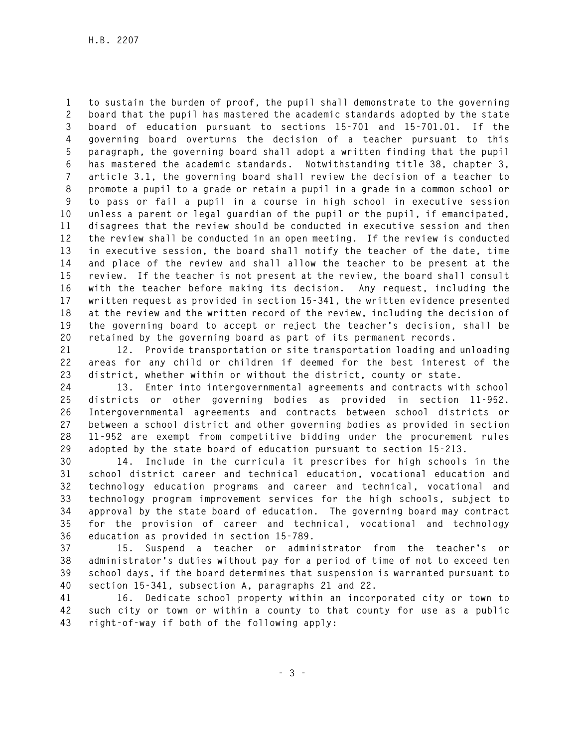**1 to sustain the burden of proof, the pupil shall demonstrate to the governing 2 board that the pupil has mastered the academic standards adopted by the state 3 board of education pursuant to sections 15-701 and 15-701.01. If the 4 governing board overturns the decision of a teacher pursuant to this 5 paragraph, the governing board shall adopt a written finding that the pupil 6 has mastered the academic standards. Notwithstanding title 38, chapter 3, 7 article 3.1, the governing board shall review the decision of a teacher to 8 promote a pupil to a grade or retain a pupil in a grade in a common school or 9 to pass or fail a pupil in a course in high school in executive session 10 unless a parent or legal guardian of the pupil or the pupil, if emancipated, 11 disagrees that the review should be conducted in executive session and then 12 the review shall be conducted in an open meeting. If the review is conducted 13 in executive session, the board shall notify the teacher of the date, time 14 and place of the review and shall allow the teacher to be present at the 15 review. If the teacher is not present at the review, the board shall consult 16 with the teacher before making its decision. Any request, including the 17 written request as provided in section 15-341, the written evidence presented 18 at the review and the written record of the review, including the decision of 19 the governing board to accept or reject the teacher's decision, shall be 20 retained by the governing board as part of its permanent records.** 

**21 12. Provide transportation or site transportation loading and unloading 22 areas for any child or children if deemed for the best interest of the 23 district, whether within or without the district, county or state.** 

**24 13. Enter into intergovernmental agreements and contracts with school 25 districts or other governing bodies as provided in section 11-952. 26 Intergovernmental agreements and contracts between school districts or 27 between a school district and other governing bodies as provided in section 28 11-952 are exempt from competitive bidding under the procurement rules 29 adopted by the state board of education pursuant to section 15-213.** 

**30 14. Include in the curricula it prescribes for high schools in the 31 school district career and technical education, vocational education and 32 technology education programs and career and technical, vocational and 33 technology program improvement services for the high schools, subject to 34 approval by the state board of education. The governing board may contract 35 for the provision of career and technical, vocational and technology 36 education as provided in section 15-789.** 

**37 15. Suspend a teacher or administrator from the teacher's or 38 administrator's duties without pay for a period of time of not to exceed ten 39 school days, if the board determines that suspension is warranted pursuant to 40 section 15-341, subsection A, paragraphs 21 and 22.** 

**41 16. Dedicate school property within an incorporated city or town to 42 such city or town or within a county to that county for use as a public 43 right-of-way if both of the following apply:**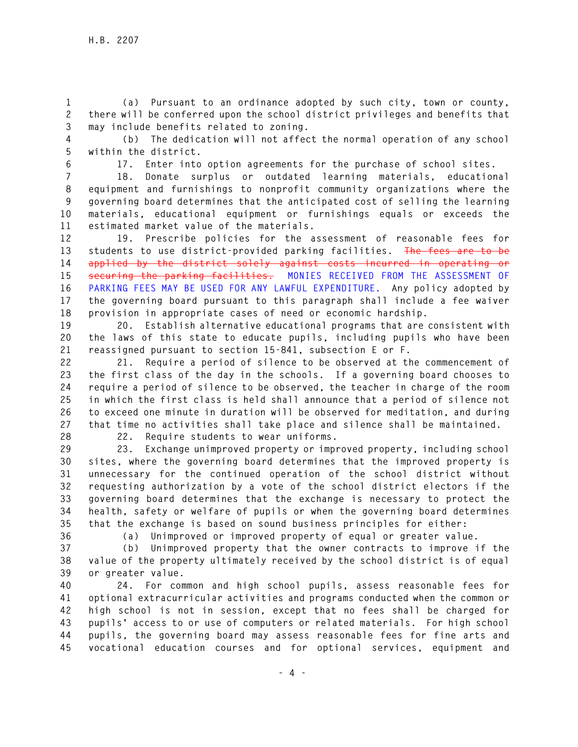**1 (a) Pursuant to an ordinance adopted by such city, town or county, 2 there will be conferred upon the school district privileges and benefits that 3 may include benefits related to zoning.** 

**4 (b) The dedication will not affect the normal operation of any school 5 within the district.** 

**6 17. Enter into option agreements for the purchase of school sites.** 

**7 18. Donate surplus or outdated learning materials, educational 8 equipment and furnishings to nonprofit community organizations where the 9 governing board determines that the anticipated cost of selling the learning 10 materials, educational equipment or furnishings equals or exceeds the 11 estimated market value of the materials.** 

**12 19. Prescribe policies for the assessment of reasonable fees for 13 students to use district-provided parking facilities. The fees are to be 14 applied by the district solely against costs incurred in operating or 15 securing the parking facilities. MONIES RECEIVED FROM THE ASSESSMENT OF 16 PARKING FEES MAY BE USED FOR ANY LAWFUL EXPENDITURE. Any policy adopted by 17 the governing board pursuant to this paragraph shall include a fee waiver 18 provision in appropriate cases of need or economic hardship.** 

**19 20. Establish alternative educational programs that are consistent with 20 the laws of this state to educate pupils, including pupils who have been 21 reassigned pursuant to section 15-841, subsection E or F.** 

**22 21. Require a period of silence to be observed at the commencement of 23 the first class of the day in the schools. If a governing board chooses to 24 require a period of silence to be observed, the teacher in charge of the room 25 in which the first class is held shall announce that a period of silence not 26 to exceed one minute in duration will be observed for meditation, and during 27 that time no activities shall take place and silence shall be maintained.** 

**28 22. Require students to wear uniforms.** 

**29 23. Exchange unimproved property or improved property, including school 30 sites, where the governing board determines that the improved property is 31 unnecessary for the continued operation of the school district without 32 requesting authorization by a vote of the school district electors if the 33 governing board determines that the exchange is necessary to protect the 34 health, safety or welfare of pupils or when the governing board determines 35 that the exchange is based on sound business principles for either:** 

**36 (a) Unimproved or improved property of equal or greater value.** 

**37 (b) Unimproved property that the owner contracts to improve if the 38 value of the property ultimately received by the school district is of equal 39 or greater value.** 

**40 24. For common and high school pupils, assess reasonable fees for 41 optional extracurricular activities and programs conducted when the common or 42 high school is not in session, except that no fees shall be charged for 43 pupils' access to or use of computers or related materials. For high school 44 pupils, the governing board may assess reasonable fees for fine arts and 45 vocational education courses and for optional services, equipment and**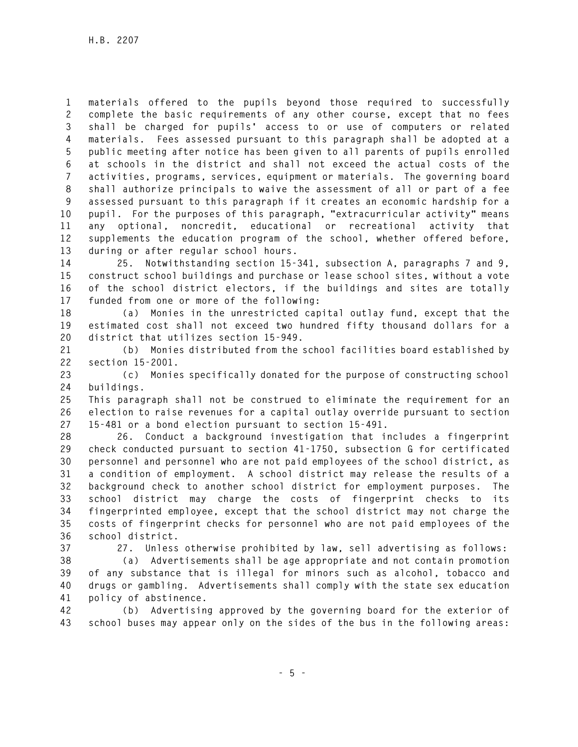**1 materials offered to the pupils beyond those required to successfully 2 complete the basic requirements of any other course, except that no fees 3 shall be charged for pupils' access to or use of computers or related 4 materials. Fees assessed pursuant to this paragraph shall be adopted at a 5 public meeting after notice has been given to all parents of pupils enrolled 6 at schools in the district and shall not exceed the actual costs of the 7 activities, programs, services, equipment or materials. The governing board 8 shall authorize principals to waive the assessment of all or part of a fee 9 assessed pursuant to this paragraph if it creates an economic hardship for a 10 pupil. For the purposes of this paragraph, "extracurricular activity" means 11 any optional, noncredit, educational or recreational activity that 12 supplements the education program of the school, whether offered before, 13 during or after regular school hours.** 

**14 25. Notwithstanding section 15-341, subsection A, paragraphs 7 and 9, 15 construct school buildings and purchase or lease school sites, without a vote 16 of the school district electors, if the buildings and sites are totally 17 funded from one or more of the following:** 

**18 (a) Monies in the unrestricted capital outlay fund, except that the 19 estimated cost shall not exceed two hundred fifty thousand dollars for a 20 district that utilizes section 15-949.** 

**21 (b) Monies distributed from the school facilities board established by 22 section 15-2001.** 

**23 (c) Monies specifically donated for the purpose of constructing school 24 buildings.** 

**25 This paragraph shall not be construed to eliminate the requirement for an 26 election to raise revenues for a capital outlay override pursuant to section 27 15-481 or a bond election pursuant to section 15-491.** 

**28 26. Conduct a background investigation that includes a fingerprint 29 check conducted pursuant to section 41-1750, subsection G for certificated 30 personnel and personnel who are not paid employees of the school district, as 31 a condition of employment. A school district may release the results of a 32 background check to another school district for employment purposes. The 33 school district may charge the costs of fingerprint checks to its 34 fingerprinted employee, except that the school district may not charge the 35 costs of fingerprint checks for personnel who are not paid employees of the 36 school district.** 

**37 27. Unless otherwise prohibited by law, sell advertising as follows:** 

**38 (a) Advertisements shall be age appropriate and not contain promotion 39 of any substance that is illegal for minors such as alcohol, tobacco and 40 drugs or gambling. Advertisements shall comply with the state sex education 41 policy of abstinence.** 

**42 (b) Advertising approved by the governing board for the exterior of 43 school buses may appear only on the sides of the bus in the following areas:**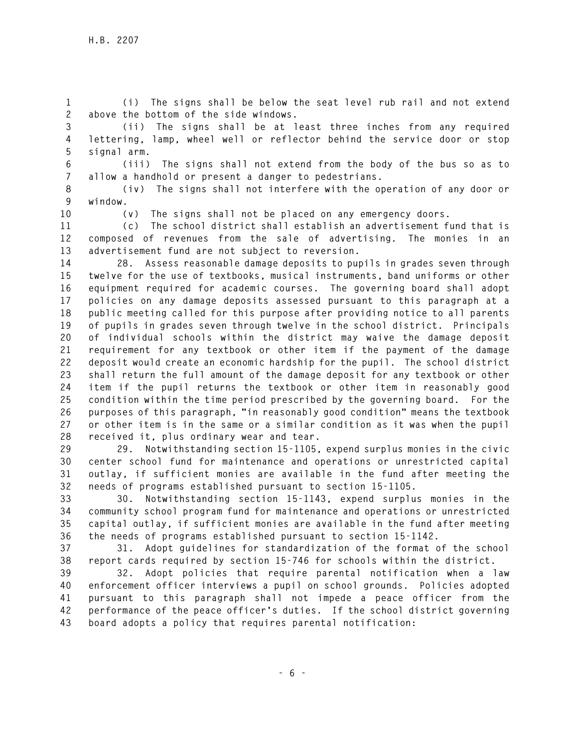**1 (i) The signs shall be below the seat level rub rail and not extend 2 above the bottom of the side windows.** 

- **3 (ii) The signs shall be at least three inches from any required 4 lettering, lamp, wheel well or reflector behind the service door or stop 5 signal arm.**
- 

**6 (iii) The signs shall not extend from the body of the bus so as to 7 allow a handhold or present a danger to pedestrians.** 

**8 (iv) The signs shall not interfere with the operation of any door or 9 window.** 

**10 (v) The signs shall not be placed on any emergency doors.** 

**11 (c) The school district shall establish an advertisement fund that is 12 composed of revenues from the sale of advertising. The monies in an 13 advertisement fund are not subject to reversion.** 

**14 28. Assess reasonable damage deposits to pupils in grades seven through 15 twelve for the use of textbooks, musical instruments, band uniforms or other 16 equipment required for academic courses. The governing board shall adopt 17 policies on any damage deposits assessed pursuant to this paragraph at a 18 public meeting called for this purpose after providing notice to all parents 19 of pupils in grades seven through twelve in the school district. Principals 20 of individual schools within the district may waive the damage deposit 21 requirement for any textbook or other item if the payment of the damage 22 deposit would create an economic hardship for the pupil. The school district 23 shall return the full amount of the damage deposit for any textbook or other 24 item if the pupil returns the textbook or other item in reasonably good 25 condition within the time period prescribed by the governing board. For the 26 purposes of this paragraph, "in reasonably good condition" means the textbook 27 or other item is in the same or a similar condition as it was when the pupil 28 received it, plus ordinary wear and tear.** 

**29 29. Notwithstanding section 15-1105, expend surplus monies in the civic 30 center school fund for maintenance and operations or unrestricted capital 31 outlay, if sufficient monies are available in the fund after meeting the 32 needs of programs established pursuant to section 15-1105.** 

**33 30. Notwithstanding section 15-1143, expend surplus monies in the 34 community school program fund for maintenance and operations or unrestricted 35 capital outlay, if sufficient monies are available in the fund after meeting 36 the needs of programs established pursuant to section 15-1142.** 

**37 31. Adopt guidelines for standardization of the format of the school 38 report cards required by section 15-746 for schools within the district.** 

**39 32. Adopt policies that require parental notification when a law 40 enforcement officer interviews a pupil on school grounds. Policies adopted 41 pursuant to this paragraph shall not impede a peace officer from the 42 performance of the peace officer's duties. If the school district governing 43 board adopts a policy that requires parental notification:**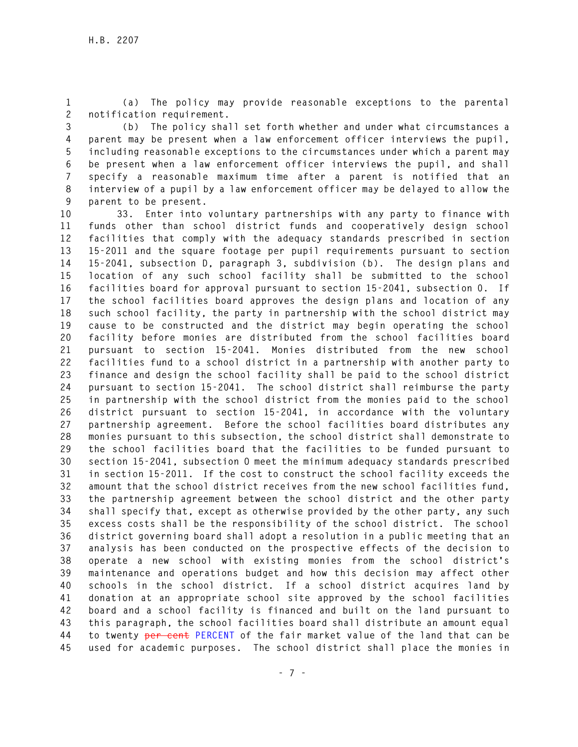**1 (a) The policy may provide reasonable exceptions to the parental 2 notification requirement.** 

**3 (b) The policy shall set forth whether and under what circumstances a 4 parent may be present when a law enforcement officer interviews the pupil, 5 including reasonable exceptions to the circumstances under which a parent may 6 be present when a law enforcement officer interviews the pupil, and shall 7 specify a reasonable maximum time after a parent is notified that an 8 interview of a pupil by a law enforcement officer may be delayed to allow the 9 parent to be present.** 

**10 33. Enter into voluntary partnerships with any party to finance with 11 funds other than school district funds and cooperatively design school 12 facilities that comply with the adequacy standards prescribed in section 13 15-2011 and the square footage per pupil requirements pursuant to section 14 15-2041, subsection D, paragraph 3, subdivision (b). The design plans and 15 location of any such school facility shall be submitted to the school 16 facilities board for approval pursuant to section 15-2041, subsection 0. If 17 the school facilities board approves the design plans and location of any 18 such school facility, the party in partnership with the school district may 19 cause to be constructed and the district may begin operating the school 20 facility before monies are distributed from the school facilities board 21 pursuant to section 15-2041. Monies distributed from the new school 22 facilities fund to a school district in a partnership with another party to 23 finance and design the school facility shall be paid to the school district 24 pursuant to section 15-2041. The school district shall reimburse the party 25 in partnership with the school district from the monies paid to the school 26 district pursuant to section 15-2041, in accordance with the voluntary 27 partnership agreement. Before the school facilities board distributes any 28 monies pursuant to this subsection, the school district shall demonstrate to 29 the school facilities board that the facilities to be funded pursuant to 30 section 15-2041, subsection O meet the minimum adequacy standards prescribed 31 in section 15-2011. If the cost to construct the school facility exceeds the 32 amount that the school district receives from the new school facilities fund, 33 the partnership agreement between the school district and the other party 34 shall specify that, except as otherwise provided by the other party, any such 35 excess costs shall be the responsibility of the school district. The school 36 district governing board shall adopt a resolution in a public meeting that an 37 analysis has been conducted on the prospective effects of the decision to 38 operate a new school with existing monies from the school district's 39 maintenance and operations budget and how this decision may affect other 40 schools in the school district. If a school district acquires land by 41 donation at an appropriate school site approved by the school facilities 42 board and a school facility is financed and built on the land pursuant to 43 this paragraph, the school facilities board shall distribute an amount equal 44 to twenty per cent PERCENT of the fair market value of the land that can be 45 used for academic purposes. The school district shall place the monies in**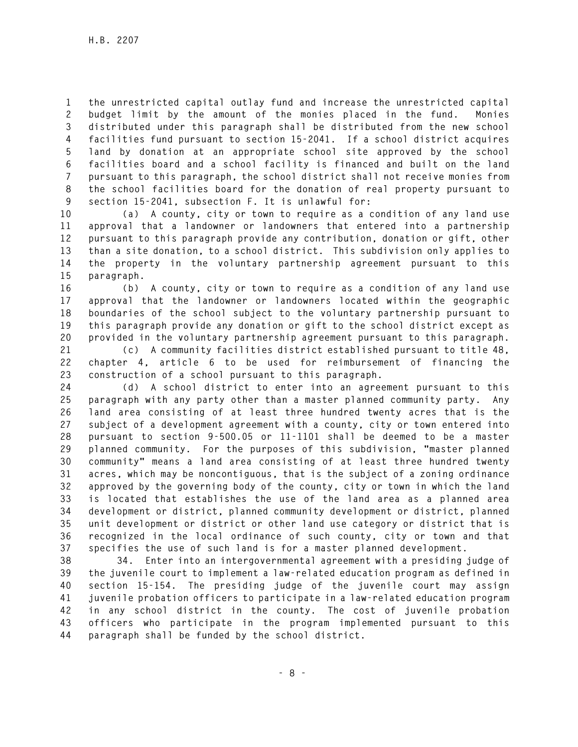**1 the unrestricted capital outlay fund and increase the unrestricted capital 2 budget limit by the amount of the monies placed in the fund. Monies 3 distributed under this paragraph shall be distributed from the new school 4 facilities fund pursuant to section 15-2041. If a school district acquires 5 land by donation at an appropriate school site approved by the school 6 facilities board and a school facility is financed and built on the land 7 pursuant to this paragraph, the school district shall not receive monies from 8 the school facilities board for the donation of real property pursuant to 9 section 15-2041, subsection F. It is unlawful for:** 

**10 (a) A county, city or town to require as a condition of any land use 11 approval that a landowner or landowners that entered into a partnership 12 pursuant to this paragraph provide any contribution, donation or gift, other 13 than a site donation, to a school district. This subdivision only applies to 14 the property in the voluntary partnership agreement pursuant to this 15 paragraph.** 

**16 (b) A county, city or town to require as a condition of any land use 17 approval that the landowner or landowners located within the geographic 18 boundaries of the school subject to the voluntary partnership pursuant to 19 this paragraph provide any donation or gift to the school district except as 20 provided in the voluntary partnership agreement pursuant to this paragraph.** 

**21 (c) A community facilities district established pursuant to title 48, 22 chapter 4, article 6 to be used for reimbursement of financing the 23 construction of a school pursuant to this paragraph.** 

**24 (d) A school district to enter into an agreement pursuant to this 25 paragraph with any party other than a master planned community party. Any 26 land area consisting of at least three hundred twenty acres that is the 27 subject of a development agreement with a county, city or town entered into 28 pursuant to section 9-500.05 or 11-1101 shall be deemed to be a master 29 planned community. For the purposes of this subdivision, "master planned 30 community" means a land area consisting of at least three hundred twenty 31 acres, which may be noncontiguous, that is the subject of a zoning ordinance 32 approved by the governing body of the county, city or town in which the land 33 is located that establishes the use of the land area as a planned area 34 development or district, planned community development or district, planned 35 unit development or district or other land use category or district that is 36 recognized in the local ordinance of such county, city or town and that 37 specifies the use of such land is for a master planned development.** 

**38 34. Enter into an intergovernmental agreement with a presiding judge of 39 the juvenile court to implement a law-related education program as defined in 40 section 15-154. The presiding judge of the juvenile court may assign 41 juvenile probation officers to participate in a law-related education program 42 in any school district in the county. The cost of juvenile probation 43 officers who participate in the program implemented pursuant to this 44 paragraph shall be funded by the school district.**